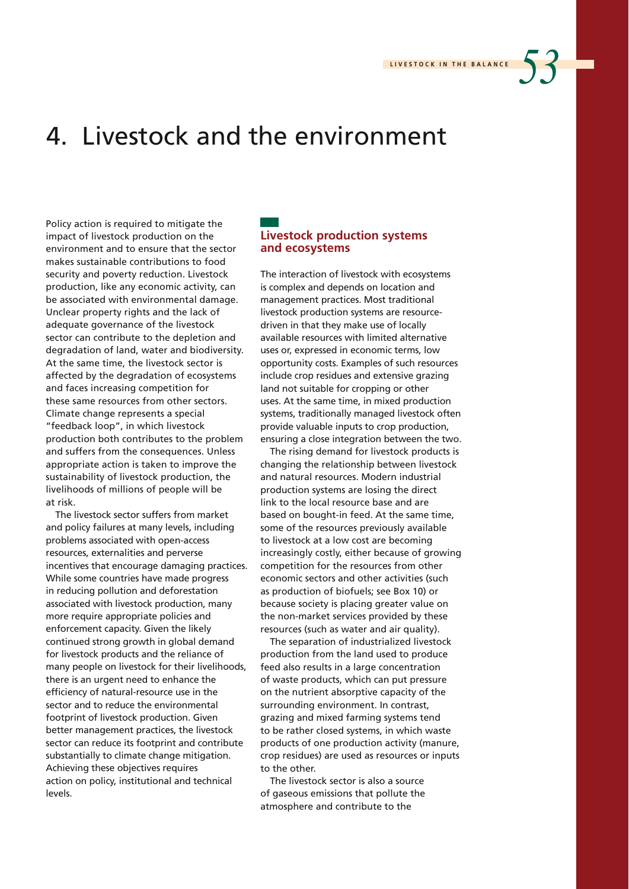# 4. Livestock and the environment

Policy action is required to mitigate the impact of livestock production on the environment and to ensure that the sector makes sustainable contributions to food security and poverty reduction. Livestock production, like any economic activity, can be associated with environmental damage. Unclear property rights and the lack of adequate governance of the livestock sector can contribute to the depletion and degradation of land, water and biodiversity. At the same time, the livestock sector is affected by the degradation of ecosystems and faces increasing competition for these same resources from other sectors. Climate change represents a special "feedback loop", in which livestock production both contributes to the problem and suffers from the consequences. Unless appropriate action is taken to improve the sustainability of livestock production, the livelihoods of millions of people will be at risk.

The livestock sector suffers from market and policy failures at many levels, including problems associated with open-access resources, externalities and perverse incentives that encourage damaging practices. While some countries have made progress in reducing pollution and deforestation associated with livestock production, many more require appropriate policies and enforcement capacity. Given the likely continued strong growth in global demand for livestock products and the reliance of many people on livestock for their livelihoods, there is an urgent need to enhance the efficiency of natural-resource use in the sector and to reduce the environmental footprint of livestock production. Given better management practices, the livestock sector can reduce its footprint and contribute substantially to climate change mitigation. Achieving these objectives requires action on policy, institutional and technical levels.

### **Livestock production systems and ecosystems**

The interaction of livestock with ecosystems is complex and depends on location and management practices. Most traditional livestock production systems are resourcedriven in that they make use of locally available resources with limited alternative uses or, expressed in economic terms, low opportunity costs. Examples of such resources include crop residues and extensive grazing land not suitable for cropping or other uses. At the same time, in mixed production systems, traditionally managed livestock often provide valuable inputs to crop production, ensuring a close integration between the two.

The rising demand for livestock products is changing the relationship between livestock and natural resources. Modern industrial production systems are losing the direct link to the local resource base and are based on bought-in feed. At the same time, some of the resources previously available to livestock at a low cost are becoming increasingly costly, either because of growing competition for the resources from other economic sectors and other activities (such as production of biofuels; see Box 10) or because society is placing greater value on the non-market services provided by these resources (such as water and air quality).

The separation of industrialized livestock production from the land used to produce feed also results in a large concentration of waste products, which can put pressure on the nutrient absorptive capacity of the surrounding environment. In contrast, grazing and mixed farming systems tend to be rather closed systems, in which waste products of one production activity (manure, crop residues) are used as resources or inputs to the other.

The livestock sector is also a source of gaseous emissions that pollute the atmosphere and contribute to the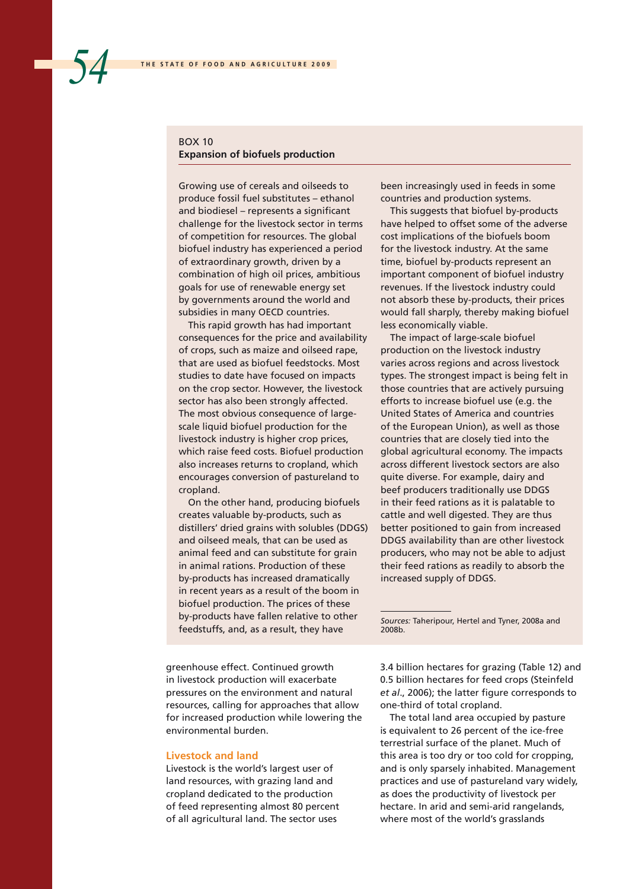### BOX 10 **Expansion of biofuels production**

Growing use of cereals and oilseeds to produce fossil fuel substitutes – ethanol and biodiesel – represents a significant challenge for the livestock sector in terms of competition for resources. The global biofuel industry has experienced a period of extraordinary growth, driven by a combination of high oil prices, ambitious goals for use of renewable energy set by governments around the world and subsidies in many OECD countries.

This rapid growth has had important consequences for the price and availability of crops, such as maize and oilseed rape, that are used as biofuel feedstocks. Most studies to date have focused on impacts on the crop sector. However, the livestock sector has also been strongly affected. The most obvious consequence of largescale liquid biofuel production for the livestock industry is higher crop prices, which raise feed costs. Biofuel production also increases returns to cropland, which encourages conversion of pastureland to cropland.

On the other hand, producing biofuels creates valuable by-products, such as distillers' dried grains with solubles (DDGS) and oilseed meals, that can be used as animal feed and can substitute for grain in animal rations. Production of these by-products has increased dramatically in recent years as a result of the boom in biofuel production. The prices of these by-products have fallen relative to other feedstuffs, and, as a result, they have

been increasingly used in feeds in some countries and production systems.

This suggests that biofuel by-products have helped to offset some of the adverse cost implications of the biofuels boom for the livestock industry. At the same time, biofuel by-products represent an important component of biofuel industry revenues. If the livestock industry could not absorb these by-products, their prices would fall sharply, thereby making biofuel less economically viable.

The impact of large-scale biofuel production on the livestock industry varies across regions and across livestock types. The strongest impact is being felt in those countries that are actively pursuing efforts to increase biofuel use (e.g. the United States of America and countries of the European Union), as well as those countries that are closely tied into the global agricultural economy. The impacts across different livestock sectors are also quite diverse. For example, dairy and beef producers traditionally use DDGS in their feed rations as it is palatable to cattle and well digested. They are thus better positioned to gain from increased DDGS availability than are other livestock producers, who may not be able to adjust their feed rations as readily to absorb the increased supply of DDGS.

*Sources:* Taheripour, Hertel and Tyner, 2008a and 2008b.

greenhouse effect. Continued growth in livestock production will exacerbate pressures on the environment and natural resources, calling for approaches that allow for increased production while lowering the environmental burden.

#### **Livestock and land**

Livestock is the world's largest user of land resources, with grazing land and cropland dedicated to the production of feed representing almost 80 percent of all agricultural land. The sector uses

3.4 billion hectares for grazing (Table 12) and 0.5 billion hectares for feed crops (Steinfeld *et al*., 2006); the latter figure corresponds to one-third of total cropland.

The total land area occupied by pasture is equivalent to 26 percent of the ice-free terrestrial surface of the planet. Much of this area is too dry or too cold for cropping, and is only sparsely inhabited. Management practices and use of pastureland vary widely, as does the productivity of livestock per hectare. In arid and semi-arid rangelands, where most of the world's grasslands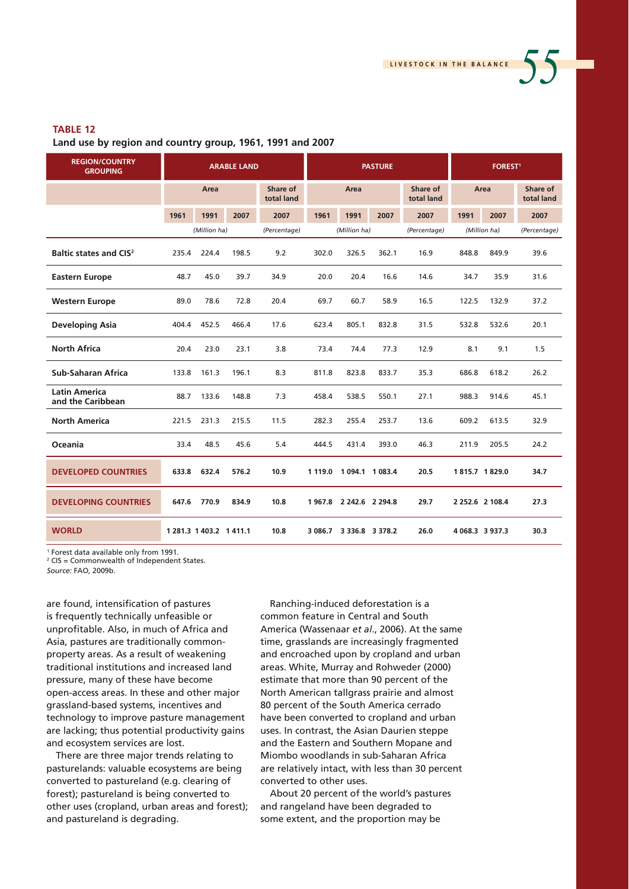

### **TABLE 12**

**Land use by region and country group, 1961, 1991 and 2007** 

| <b>REGION/COUNTRY</b><br><b>GROUPING</b>  | <b>ARABLE LAND</b>      |              |                        | <b>PASTURE</b> |             |                        | <b>FOREST<sup>1</sup></b> |              |                        |              |              |
|-------------------------------------------|-------------------------|--------------|------------------------|----------------|-------------|------------------------|---------------------------|--------------|------------------------|--------------|--------------|
|                                           | Area                    |              | Share of<br>total land | Area           |             | Share of<br>total land | Area                      |              | Share of<br>total land |              |              |
|                                           | 1961                    | 1991         | 2007                   | 2007           | 1961        | 1991                   | 2007                      | 2007         | 1991                   | 2007         | 2007         |
|                                           |                         | (Million ha) |                        | (Percentage)   |             | (Million ha)           |                           | (Percentage) |                        | (Million ha) | (Percentage) |
| Baltic states and CIS <sup>2</sup>        | 235.4                   | 224.4        | 198.5                  | 9.2            | 302.0       | 326.5                  | 362.1                     | 16.9         | 848.8                  | 849.9        | 39.6         |
| <b>Eastern Europe</b>                     | 48.7                    | 45.0         | 39.7                   | 34.9           | 20.0        | 20.4                   | 16.6                      | 14.6         | 34.7                   | 35.9         | 31.6         |
| <b>Western Europe</b>                     | 89.0                    | 78.6         | 72.8                   | 20.4           | 69.7        | 60.7                   | 58.9                      | 16.5         | 122.5                  | 132.9        | 37.2         |
| <b>Developing Asia</b>                    | 404.4                   | 452.5        | 466.4                  | 17.6           | 623.4       | 805.1                  | 832.8                     | 31.5         | 532.8                  | 532.6        | 20.1         |
| <b>North Africa</b>                       | 20.4                    | 23.0         | 23.1                   | 3.8            | 73.4        | 74.4                   | 77.3                      | 12.9         | 8.1                    | 9.1          | 1.5          |
| Sub-Saharan Africa                        | 133.8                   | 161.3        | 196.1                  | 8.3            | 811.8       | 823.8                  | 833.7                     | 35.3         | 686.8                  | 618.2        | 26.2         |
| <b>Latin America</b><br>and the Caribbean | 88.7                    | 133.6        | 148.8                  | 7.3            | 458.4       | 538.5                  | 550.1                     | 27.1         | 988.3                  | 914.6        | 45.1         |
| <b>North America</b>                      | 221.5                   | 231.3        | 215.5                  | 11.5           | 282.3       | 255.4                  | 253.7                     | 13.6         | 609.2                  | 613.5        | 32.9         |
| <b>Oceania</b>                            | 33.4                    | 48.5         | 45.6                   | 5.4            | 444.5       | 431.4                  | 393.0                     | 46.3         | 211.9                  | 205.5        | 24.2         |
| <b>DEVELOPED COUNTRIES</b>                | 633.8                   | 632.4        | 576.2                  | 10.9           | 1 1 1 9 . 0 | 1 094.1 1 083.4        |                           | 20.5         | 1815.7 1829.0          |              | 34.7         |
| <b>DEVELOPING COUNTRIES</b>               | 647.6                   | 770.9        | 834.9                  | 10.8           | 1967.8      | 2 242.6 2 294.8        |                           | 29.7         | 2 2 5 2 .6 2 10 8 .4   |              | 27.3         |
| <b>WORLD</b>                              | 1 281.3 1 403.2 1 411.1 |              |                        | 10.8           | 3 086.7     | 3 3 3 6 .8 3 3 7 8 .2  |                           | 26.0         | 4 068.3 3 937.3        |              | 30.3         |

1 Forest data available only from 1991.

2 CIS = Commonwealth of Independent States.

*Source:* FAO, 2009b.

are found, intensification of pastures is frequently technically unfeasible or unprofitable. Also, in much of Africa and Asia, pastures are traditionally commonproperty areas. As a result of weakening traditional institutions and increased land pressure, many of these have become open-access areas. In these and other major grassland-based systems, incentives and technology to improve pasture management are lacking; thus potential productivity gains and ecosystem services are lost.

There are three major trends relating to pasturelands: valuable ecosystems are being converted to pastureland (e.g. clearing of forest); pastureland is being converted to other uses (cropland, urban areas and forest); and pastureland is degrading.

Ranching-induced deforestation is a common feature in Central and South America (Wassenaar *et al*., 2006). At the same time, grasslands are increasingly fragmented and encroached upon by cropland and urban areas. White, Murray and Rohweder (2000) estimate that more than 90 percent of the North American tallgrass prairie and almost 80 percent of the South America cerrado have been converted to cropland and urban uses. In contrast, the Asian Daurien steppe and the Eastern and Southern Mopane and Miombo woodlands in sub-Saharan Africa are relatively intact, with less than 30 percent converted to other uses.

About 20 percent of the world's pastures and rangeland have been degraded to some extent, and the proportion may be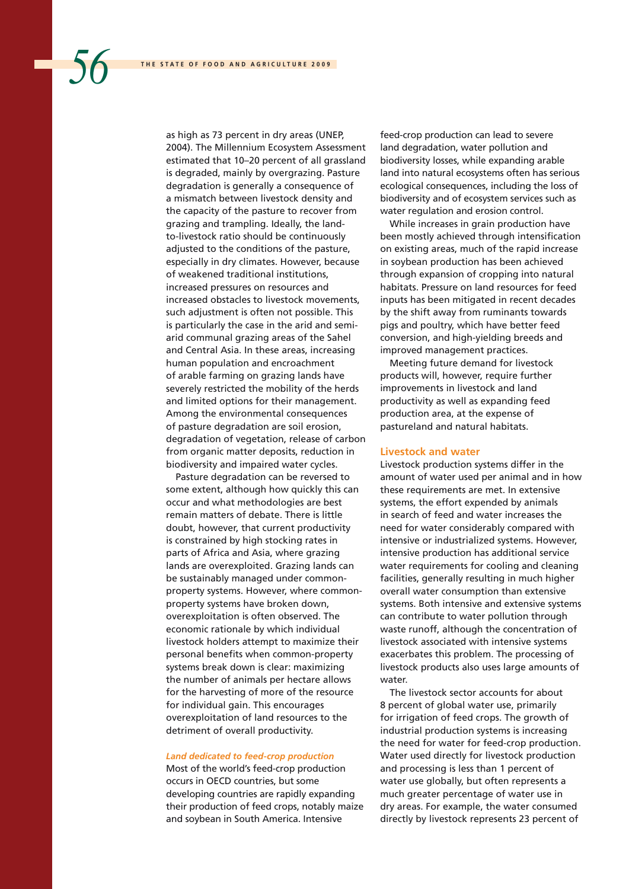as high as 73 percent in dry areas (UNEP, 2004). The Millennium Ecosystem Assessment estimated that 10–20 percent of all grassland is degraded, mainly by overgrazing. Pasture degradation is generally a consequence of a mismatch between livestock density and the capacity of the pasture to recover from grazing and trampling. Ideally, the landto-livestock ratio should be continuously adjusted to the conditions of the pasture, especially in dry climates. However, because of weakened traditional institutions, increased pressures on resources and increased obstacles to livestock movements, such adjustment is often not possible. This is particularly the case in the arid and semiarid communal grazing areas of the Sahel and Central Asia. In these areas, increasing human population and encroachment of arable farming on grazing lands have severely restricted the mobility of the herds and limited options for their management. Among the environmental consequences of pasture degradation are soil erosion, degradation of vegetation, release of carbon from organic matter deposits, reduction in biodiversity and impaired water cycles.

Pasture degradation can be reversed to some extent, although how quickly this can occur and what methodologies are best remain matters of debate. There is little doubt, however, that current productivity is constrained by high stocking rates in parts of Africa and Asia, where grazing lands are overexploited. Grazing lands can be sustainably managed under commonproperty systems. However, where commonproperty systems have broken down, overexploitation is often observed. The economic rationale by which individual livestock holders attempt to maximize their personal benefits when common-property systems break down is clear: maximizing the number of animals per hectare allows for the harvesting of more of the resource for individual gain. This encourages overexploitation of land resources to the detriment of overall productivity.

#### *Land dedicated to feed-crop production*

Most of the world's feed-crop production occurs in OECD countries, but some developing countries are rapidly expanding their production of feed crops, notably maize and soybean in South America. Intensive

feed-crop production can lead to severe land degradation, water pollution and biodiversity losses, while expanding arable land into natural ecosystems often has serious ecological consequences, including the loss of biodiversity and of ecosystem services such as water regulation and erosion control.

While increases in grain production have been mostly achieved through intensification on existing areas, much of the rapid increase in soybean production has been achieved through expansion of cropping into natural habitats. Pressure on land resources for feed inputs has been mitigated in recent decades by the shift away from ruminants towards pigs and poultry, which have better feed conversion, and high-yielding breeds and improved management practices.

Meeting future demand for livestock products will, however, require further improvements in livestock and land productivity as well as expanding feed production area, at the expense of pastureland and natural habitats.

#### **Livestock and water**

Livestock production systems differ in the amount of water used per animal and in how these requirements are met. In extensive systems, the effort expended by animals in search of feed and water increases the need for water considerably compared with intensive or industrialized systems. However, intensive production has additional service water requirements for cooling and cleaning facilities, generally resulting in much higher overall water consumption than extensive systems. Both intensive and extensive systems can contribute to water pollution through waste runoff, although the concentration of livestock associated with intensive systems exacerbates this problem. The processing of livestock products also uses large amounts of water.

The livestock sector accounts for about 8 percent of global water use, primarily for irrigation of feed crops. The growth of industrial production systems is increasing the need for water for feed-crop production. Water used directly for livestock production and processing is less than 1 percent of water use globally, but often represents a much greater percentage of water use in dry areas. For example, the water consumed directly by livestock represents 23 percent of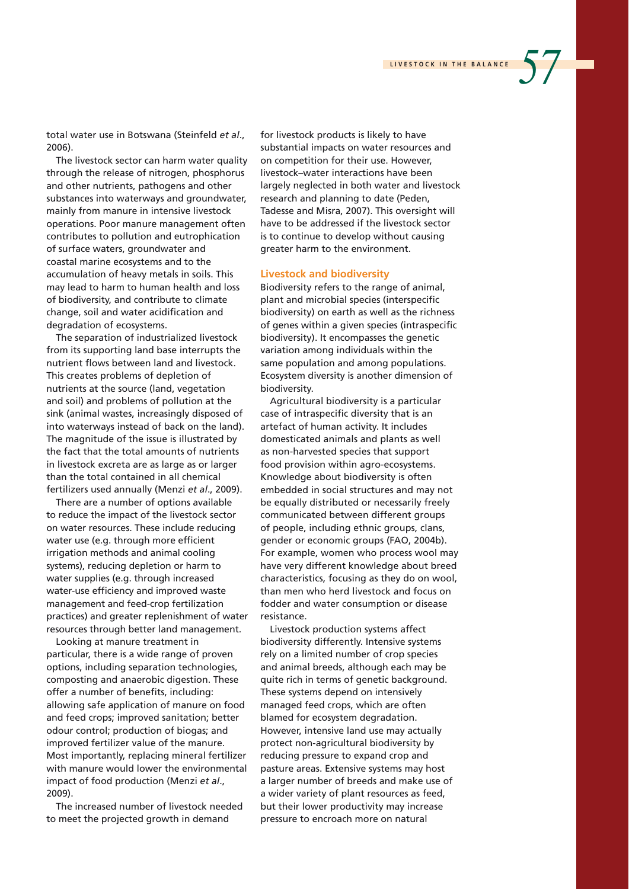total water use in Botswana (Steinfeld *et al*., 2006).

The livestock sector can harm water quality through the release of nitrogen, phosphorus and other nutrients, pathogens and other substances into waterways and groundwater, mainly from manure in intensive livestock operations. Poor manure management often contributes to pollution and eutrophication of surface waters, groundwater and coastal marine ecosystems and to the accumulation of heavy metals in soils. This may lead to harm to human health and loss of biodiversity, and contribute to climate change, soil and water acidification and degradation of ecosystems.

The separation of industrialized livestock from its supporting land base interrupts the nutrient flows between land and livestock. This creates problems of depletion of nutrients at the source (land, vegetation and soil) and problems of pollution at the sink (animal wastes, increasingly disposed of into waterways instead of back on the land). The magnitude of the issue is illustrated by the fact that the total amounts of nutrients in livestock excreta are as large as or larger than the total contained in all chemical fertilizers used annually (Menzi *et al*., 2009).

There are a number of options available to reduce the impact of the livestock sector on water resources. These include reducing water use (e.g. through more efficient irrigation methods and animal cooling systems), reducing depletion or harm to water supplies (e.g. through increased water-use efficiency and improved waste management and feed-crop fertilization practices) and greater replenishment of water resources through better land management.

Looking at manure treatment in particular, there is a wide range of proven options, including separation technologies, composting and anaerobic digestion. These offer a number of benefits, including: allowing safe application of manure on food and feed crops; improved sanitation; better odour control; production of biogas; and improved fertilizer value of the manure. Most importantly, replacing mineral fertilizer with manure would lower the environmental impact of food production (Menzi *et al*., 2009).

The increased number of livestock needed to meet the projected growth in demand

for livestock products is likely to have substantial impacts on water resources and on competition for their use. However, livestock–water interactions have been largely neglected in both water and livestock research and planning to date (Peden, Tadesse and Misra, 2007). This oversight will have to be addressed if the livestock sector is to continue to develop without causing greater harm to the environment.

#### **Livestock and biodiversity**

Biodiversity refers to the range of animal, plant and microbial species (interspecific biodiversity) on earth as well as the richness of genes within a given species (intraspecific biodiversity). It encompasses the genetic variation among individuals within the same population and among populations. Ecosystem diversity is another dimension of biodiversity.

Agricultural biodiversity is a particular case of intraspecific diversity that is an artefact of human activity. It includes domesticated animals and plants as well as non-harvested species that support food provision within agro-ecosystems. Knowledge about biodiversity is often embedded in social structures and may not be equally distributed or necessarily freely communicated between different groups of people, including ethnic groups, clans, gender or economic groups (FAO, 2004b). For example, women who process wool may have very different knowledge about breed characteristics, focusing as they do on wool, than men who herd livestock and focus on fodder and water consumption or disease resistance.

Livestock production systems affect biodiversity differently. Intensive systems rely on a limited number of crop species and animal breeds, although each may be quite rich in terms of genetic background. These systems depend on intensively managed feed crops, which are often blamed for ecosystem degradation. However, intensive land use may actually protect non-agricultural biodiversity by reducing pressure to expand crop and pasture areas. Extensive systems may host a larger number of breeds and make use of a wider variety of plant resources as feed, but their lower productivity may increase pressure to encroach more on natural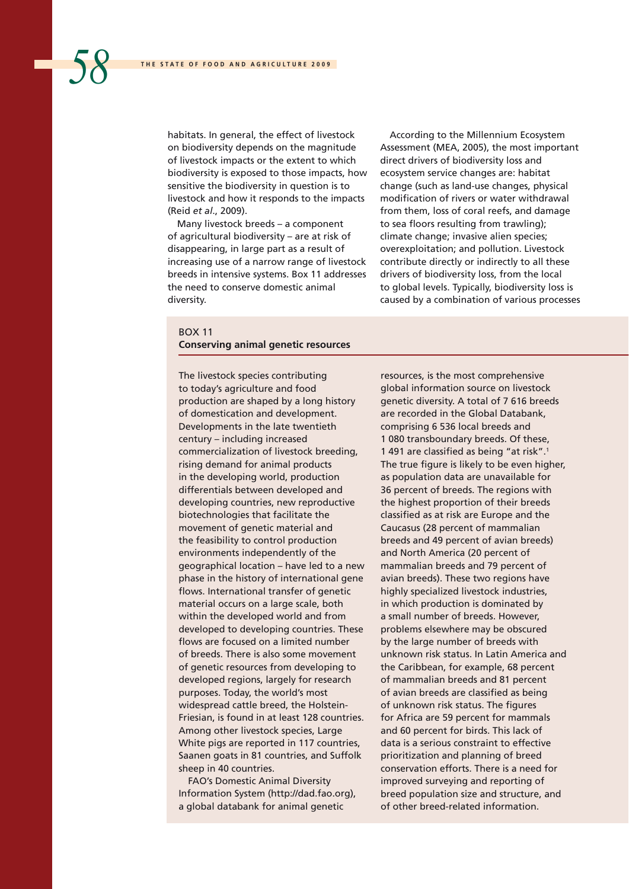habitats. In general, the effect of livestock on biodiversity depends on the magnitude of livestock impacts or the extent to which biodiversity is exposed to those impacts, how sensitive the biodiversity in question is to livestock and how it responds to the impacts (Reid *et al*., 2009).

Many livestock breeds – a component of agricultural biodiversity – are at risk of disappearing, in large part as a result of increasing use of a narrow range of livestock breeds in intensive systems. Box 11 addresses the need to conserve domestic animal diversity.

According to the Millennium Ecosystem Assessment (MEA, 2005), the most important direct drivers of biodiversity loss and ecosystem service changes are: habitat change (such as land-use changes, physical modification of rivers or water withdrawal from them, loss of coral reefs, and damage to sea floors resulting from trawling); climate change; invasive alien species; overexploitation; and pollution. Livestock contribute directly or indirectly to all these drivers of biodiversity loss, from the local to global levels. Typically, biodiversity loss is caused by a combination of various processes

#### BOX 11

#### **Conserving animal genetic resources**

The livestock species contributing to today's agriculture and food production are shaped by a long history of domestication and development. Developments in the late twentieth century – including increased commercialization of livestock breeding, rising demand for animal products in the developing world, production differentials between developed and developing countries, new reproductive biotechnologies that facilitate the movement of genetic material and the feasibility to control production environments independently of the geographical location – have led to a new phase in the history of international gene flows. International transfer of genetic material occurs on a large scale, both within the developed world and from developed to developing countries. These flows are focused on a limited number of breeds. There is also some movement of genetic resources from developing to developed regions, largely for research purposes. Today, the world's most widespread cattle breed, the Holstein-Friesian, is found in at least 128 countries. Among other livestock species, Large White pigs are reported in 117 countries, Saanen goats in 81 countries, and Suffolk sheep in 40 countries.

FAO's Domestic Animal Diversity Information System (http://dad.fao.org), a global databank for animal genetic

resources, is the most comprehensive global information source on livestock genetic diversity. A total of 7 616 breeds are recorded in the Global Databank, comprising 6 536 local breeds and 1 080 transboundary breeds. Of these, 1 491 are classified as being "at risk".1 The true figure is likely to be even higher, as population data are unavailable for 36 percent of breeds. The regions with the highest proportion of their breeds classified as at risk are Europe and the Caucasus (28 percent of mammalian breeds and 49 percent of avian breeds) and North America (20 percent of mammalian breeds and 79 percent of avian breeds). These two regions have highly specialized livestock industries, in which production is dominated by a small number of breeds. However, problems elsewhere may be obscured by the large number of breeds with unknown risk status. In Latin America and the Caribbean, for example, 68 percent of mammalian breeds and 81 percent of avian breeds are classified as being of unknown risk status. The figures for Africa are 59 percent for mammals and 60 percent for birds. This lack of data is a serious constraint to effective prioritization and planning of breed conservation efforts. There is a need for improved surveying and reporting of breed population size and structure, and of other breed-related information.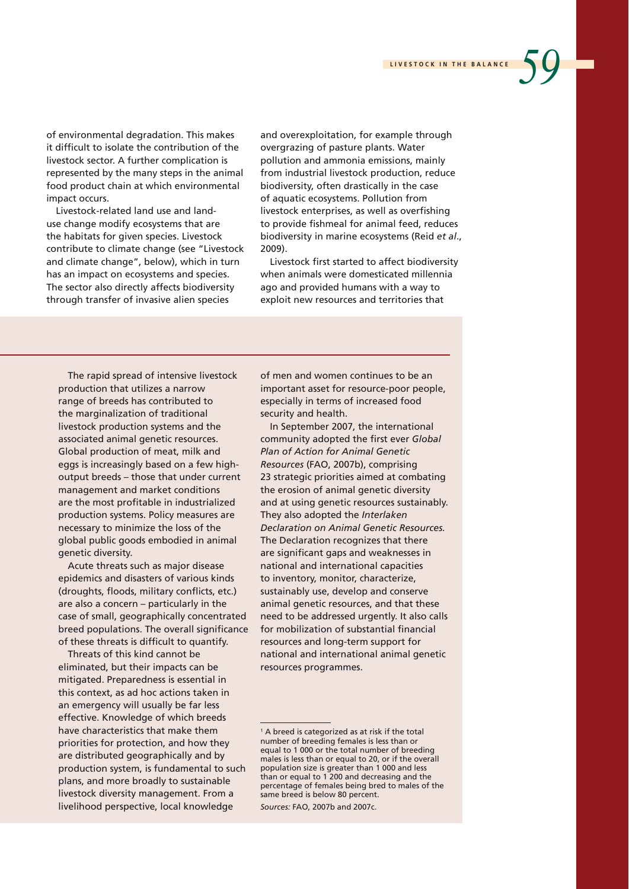of environmental degradation. This makes it difficult to isolate the contribution of the livestock sector. A further complication is represented by the many steps in the animal food product chain at which environmental impact occurs.

Livestock-related land use and landuse change modify ecosystems that are the habitats for given species. Livestock contribute to climate change (see "Livestock and climate change", below), which in turn has an impact on ecosystems and species. The sector also directly affects biodiversity through transfer of invasive alien species

and overexploitation, for example through overgrazing of pasture plants. Water pollution and ammonia emissions, mainly from industrial livestock production, reduce biodiversity, often drastically in the case of aquatic ecosystems. Pollution from livestock enterprises, as well as overfishing to provide fishmeal for animal feed, reduces biodiversity in marine ecosystems (Reid *et al*., 2009).

Livestock first started to affect biodiversity when animals were domesticated millennia ago and provided humans with a way to exploit new resources and territories that

The rapid spread of intensive livestock production that utilizes a narrow range of breeds has contributed to the marginalization of traditional livestock production systems and the associated animal genetic resources. Global production of meat, milk and eggs is increasingly based on a few highoutput breeds – those that under current management and market conditions are the most profitable in industrialized production systems. Policy measures are necessary to minimize the loss of the global public goods embodied in animal genetic diversity.

Acute threats such as major disease epidemics and disasters of various kinds (droughts, floods, military conflicts, etc.) are also a concern – particularly in the case of small, geographically concentrated breed populations. The overall significance of these threats is difficult to quantify.

Threats of this kind cannot be eliminated, but their impacts can be mitigated. Preparedness is essential in this context, as ad hoc actions taken in an emergency will usually be far less effective. Knowledge of which breeds have characteristics that make them priorities for protection, and how they are distributed geographically and by production system, is fundamental to such plans, and more broadly to sustainable livestock diversity management. From a livelihood perspective, local knowledge

of men and women continues to be an important asset for resource-poor people, especially in terms of increased food security and health.

In September 2007, the international community adopted the first ever *Global Plan of Action for Animal Genetic Resources* (FAO, 2007b), comprising 23 strategic priorities aimed at combating the erosion of animal genetic diversity and at using genetic resources sustainably. They also adopted the *Interlaken Declaration on Animal Genetic Resources.* The Declaration recognizes that there are significant gaps and weaknesses in national and international capacities to inventory, monitor, characterize, sustainably use, develop and conserve animal genetic resources, and that these need to be addressed urgently. It also calls for mobilization of substantial financial resources and long-term support for national and international animal genetic resources programmes.

<sup>&</sup>lt;sup>1</sup> A breed is categorized as at risk if the total number of breeding females is less than or equal to 1 000 or the total number of breeding males is less than or equal to 20, or if the overall population size is greater than 1 000 and less than or equal to 1 200 and decreasing and the percentage of females being bred to males of the same breed is below 80 percent. *Sources:* FAO, 2007b and 2007c.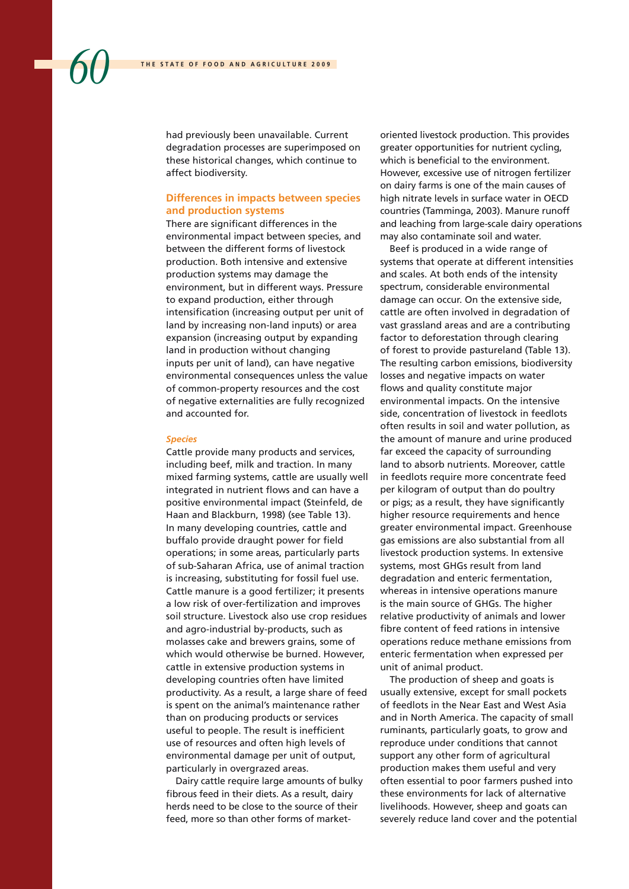had previously been unavailable. Current degradation processes are superimposed on these historical changes, which continue to affect biodiversity.

### **Differences in impacts between species and production systems**

There are significant differences in the environmental impact between species, and between the different forms of livestock production. Both intensive and extensive production systems may damage the environment, but in different ways. Pressure to expand production, either through intensification (increasing output per unit of land by increasing non-land inputs) or area expansion (increasing output by expanding land in production without changing inputs per unit of land), can have negative environmental consequences unless the value of common-property resources and the cost of negative externalities are fully recognized and accounted for.

#### *Species*

Cattle provide many products and services, including beef, milk and traction. In many mixed farming systems, cattle are usually well integrated in nutrient flows and can have a positive environmental impact (Steinfeld, de Haan and Blackburn, 1998) (see Table 13). In many developing countries, cattle and buffalo provide draught power for field operations; in some areas, particularly parts of sub-Saharan Africa, use of animal traction is increasing, substituting for fossil fuel use. Cattle manure is a good fertilizer; it presents a low risk of over-fertilization and improves soil structure. Livestock also use crop residues and agro-industrial by-products, such as molasses cake and brewers grains, some of which would otherwise be burned. However, cattle in extensive production systems in developing countries often have limited productivity. As a result, a large share of feed is spent on the animal's maintenance rather than on producing products or services useful to people. The result is inefficient use of resources and often high levels of environmental damage per unit of output, particularly in overgrazed areas.

Dairy cattle require large amounts of bulky fibrous feed in their diets. As a result, dairy herds need to be close to the source of their feed, more so than other forms of marketoriented livestock production. This provides greater opportunities for nutrient cycling, which is beneficial to the environment. However, excessive use of nitrogen fertilizer on dairy farms is one of the main causes of high nitrate levels in surface water in OECD countries (Tamminga, 2003). Manure runoff and leaching from large-scale dairy operations may also contaminate soil and water.

Beef is produced in a wide range of systems that operate at different intensities and scales. At both ends of the intensity spectrum, considerable environmental damage can occur. On the extensive side, cattle are often involved in degradation of vast grassland areas and are a contributing factor to deforestation through clearing of forest to provide pastureland (Table 13). The resulting carbon emissions, biodiversity losses and negative impacts on water flows and quality constitute major environmental impacts. On the intensive side, concentration of livestock in feedlots often results in soil and water pollution, as the amount of manure and urine produced far exceed the capacity of surrounding land to absorb nutrients. Moreover, cattle in feedlots require more concentrate feed per kilogram of output than do poultry or pigs; as a result, they have significantly higher resource requirements and hence greater environmental impact. Greenhouse gas emissions are also substantial from all livestock production systems. In extensive systems, most GHGs result from land degradation and enteric fermentation, whereas in intensive operations manure is the main source of GHGs. The higher relative productivity of animals and lower fibre content of feed rations in intensive operations reduce methane emissions from enteric fermentation when expressed per unit of animal product.

The production of sheep and goats is usually extensive, except for small pockets of feedlots in the Near East and West Asia and in North America. The capacity of small ruminants, particularly goats, to grow and reproduce under conditions that cannot support any other form of agricultural production makes them useful and very often essential to poor farmers pushed into these environments for lack of alternative livelihoods. However, sheep and goats can severely reduce land cover and the potential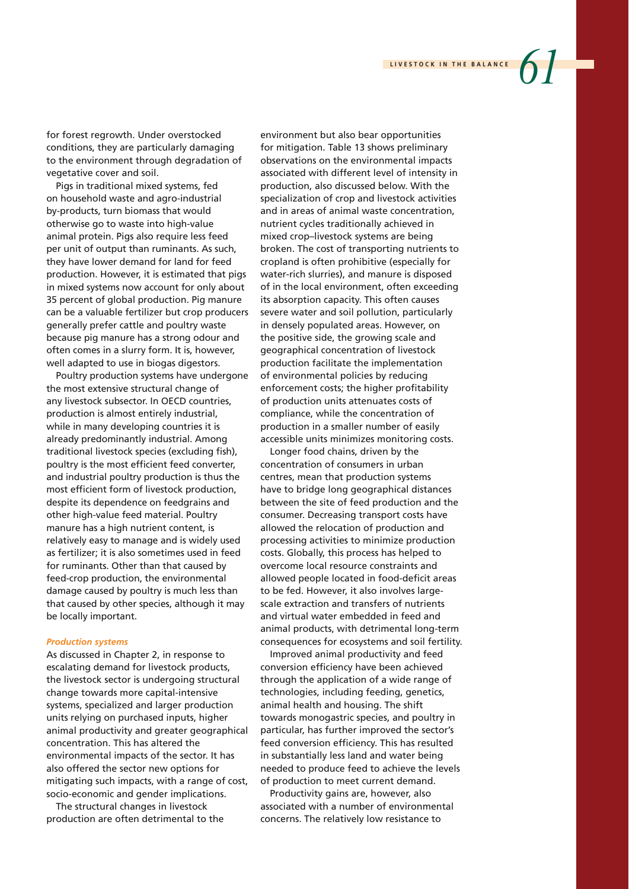### for forest regrowth. Under overstocked conditions, they are particularly damaging to the environment through degradation of vegetative cover and soil.

Pigs in traditional mixed systems, fed on household waste and agro-industrial by-products, turn biomass that would otherwise go to waste into high-value animal protein. Pigs also require less feed per unit of output than ruminants. As such, they have lower demand for land for feed production. However, it is estimated that pigs in mixed systems now account for only about 35 percent of global production. Pig manure can be a valuable fertilizer but crop producers generally prefer cattle and poultry waste because pig manure has a strong odour and often comes in a slurry form. It is, however, well adapted to use in biogas digestors.

Poultry production systems have undergone the most extensive structural change of any livestock subsector. In OECD countries, production is almost entirely industrial, while in many developing countries it is already predominantly industrial. Among traditional livestock species (excluding fish), poultry is the most efficient feed converter, and industrial poultry production is thus the most efficient form of livestock production, despite its dependence on feedgrains and other high-value feed material. Poultry manure has a high nutrient content, is relatively easy to manage and is widely used as fertilizer; it is also sometimes used in feed for ruminants. Other than that caused by feed-crop production, the environmental damage caused by poultry is much less than that caused by other species, although it may be locally important.

#### *Production systems*

As discussed in Chapter 2, in response to escalating demand for livestock products, the livestock sector is undergoing structural change towards more capital-intensive systems, specialized and larger production units relying on purchased inputs, higher animal productivity and greater geographical concentration. This has altered the environmental impacts of the sector. It has also offered the sector new options for mitigating such impacts, with a range of cost, socio-economic and gender implications.

The structural changes in livestock production are often detrimental to the environment but also bear opportunities for mitigation. Table 13 shows preliminary observations on the environmental impacts associated with different level of intensity in production, also discussed below. With the specialization of crop and livestock activities and in areas of animal waste concentration, nutrient cycles traditionally achieved in mixed crop–livestock systems are being broken. The cost of transporting nutrients to cropland is often prohibitive (especially for water-rich slurries), and manure is disposed of in the local environment, often exceeding its absorption capacity. This often causes severe water and soil pollution, particularly in densely populated areas. However, on the positive side, the growing scale and geographical concentration of livestock production facilitate the implementation of environmental policies by reducing enforcement costs; the higher profitability of production units attenuates costs of compliance, while the concentration of production in a smaller number of easily accessible units minimizes monitoring costs.

Longer food chains, driven by the concentration of consumers in urban centres, mean that production systems have to bridge long geographical distances between the site of feed production and the consumer. Decreasing transport costs have allowed the relocation of production and processing activities to minimize production costs. Globally, this process has helped to overcome local resource constraints and allowed people located in food-deficit areas to be fed. However, it also involves largescale extraction and transfers of nutrients and virtual water embedded in feed and animal products, with detrimental long-term consequences for ecosystems and soil fertility.

Improved animal productivity and feed conversion efficiency have been achieved through the application of a wide range of technologies, including feeding, genetics, animal health and housing. The shift towards monogastric species, and poultry in particular, has further improved the sector's feed conversion efficiency. This has resulted in substantially less land and water being needed to produce feed to achieve the levels of production to meet current demand.

Productivity gains are, however, also associated with a number of environmental concerns. The relatively low resistance to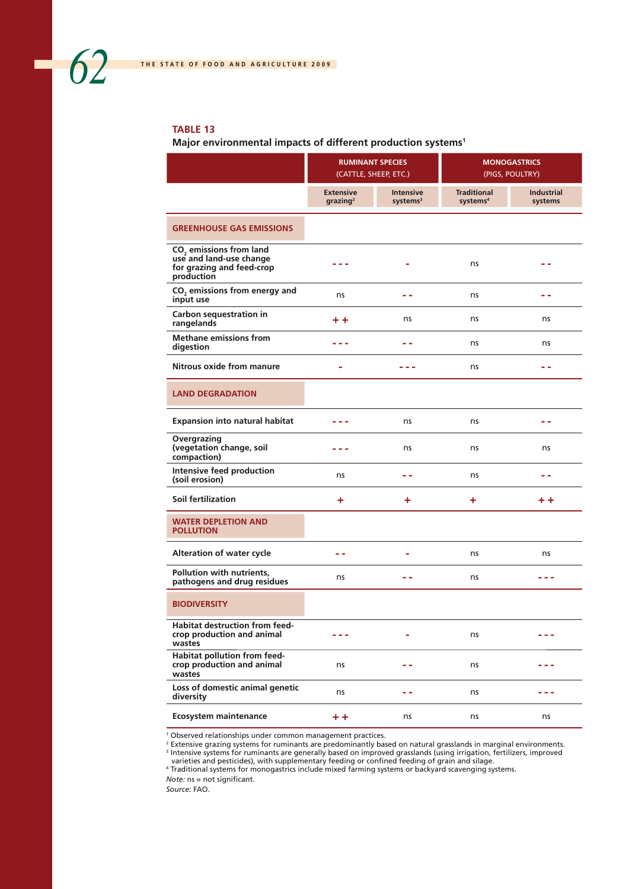### **TABLE 13**

#### **Major environmental impacts of different production systems1**

|                                                                                                           | <b>RUMINANT SPECIES</b><br>(CATTLE, SHEEP, ETC.) |                                 | <b>MONOGASTRICS</b><br>(PIGS, POULTRY)     |                              |  |  |
|-----------------------------------------------------------------------------------------------------------|--------------------------------------------------|---------------------------------|--------------------------------------------|------------------------------|--|--|
|                                                                                                           | <b>Extensive</b><br>grazing <sup>2</sup>         | <b>Intensive</b><br>systems $3$ | <b>Traditional</b><br>systems <sup>4</sup> | <b>Industrial</b><br>systems |  |  |
| <b>GREENHOUSE GAS EMISSIONS</b>                                                                           |                                                  |                                 |                                            |                              |  |  |
| CO <sub>2</sub> emissions from land<br>use and land-use change<br>for grazing and feed-crop<br>production | ---                                              |                                 | ns                                         | - -                          |  |  |
| $CO2$ emissions from energy and<br>input use                                                              | ns                                               | - -                             | ns                                         | - -                          |  |  |
| Carbon sequestration in<br>rangelands                                                                     | + +                                              | ns                              | ns                                         | ns                           |  |  |
| <b>Methane emissions from</b><br>digestion                                                                | ---                                              | - -                             | ns                                         | ns                           |  |  |
| Nitrous oxide from manure                                                                                 |                                                  |                                 | ns                                         | - -                          |  |  |
| <b>LAND DEGRADATION</b>                                                                                   |                                                  |                                 |                                            |                              |  |  |
| <b>Expansion into natural habitat</b>                                                                     |                                                  | ns                              | ns                                         |                              |  |  |
| Overgrazing<br>(vegetation change, soil<br>compaction)                                                    |                                                  | ns                              | ns                                         | ns                           |  |  |
| Intensive feed production<br>(soil erosion)                                                               | ns                                               | - -                             | ns                                         |                              |  |  |
| Soil fertilization                                                                                        | ٠                                                | ٠                               | ٠                                          | + +                          |  |  |
| <b>WATER DEPLETION AND</b><br><b>POLLUTION</b>                                                            |                                                  |                                 |                                            |                              |  |  |
| <b>Alteration of water cycle</b>                                                                          | - -                                              | ۰                               | ns                                         | ns                           |  |  |
| Pollution with nutrients,<br>pathogens and drug residues                                                  | ns                                               | - -                             | ns                                         |                              |  |  |
| <b>BIODIVERSITY</b>                                                                                       |                                                  |                                 |                                            |                              |  |  |
| Habitat destruction from feed-<br>crop production and animal<br>wastes                                    |                                                  | ٠                               | ns                                         |                              |  |  |
| Habitat pollution from feed-<br>crop production and animal<br>wastes                                      | ns                                               | - -                             | ns                                         |                              |  |  |
| Loss of domestic animal genetic<br>diversity                                                              | ns                                               | - -                             | ns                                         |                              |  |  |
| <b>Ecosystem maintenance</b>                                                                              | $+ +$                                            | ns                              | ns                                         | ns                           |  |  |

<sup>1</sup> Observed relationships under common management practices.<br><sup>2</sup> Extensive grazing systems for ruminants are predominantly based on natural grasslands in marginal environments.<br><sup>3</sup> Intensive systems for ruminants are gene

varieties and pesticides), with supplementary feeding or confined feeding of grain and silage. 4 Traditional systems for monogastrics include mixed farming systems or backyard scavenging systems.

*Note:* ns = not significant.

*Source:* FAO.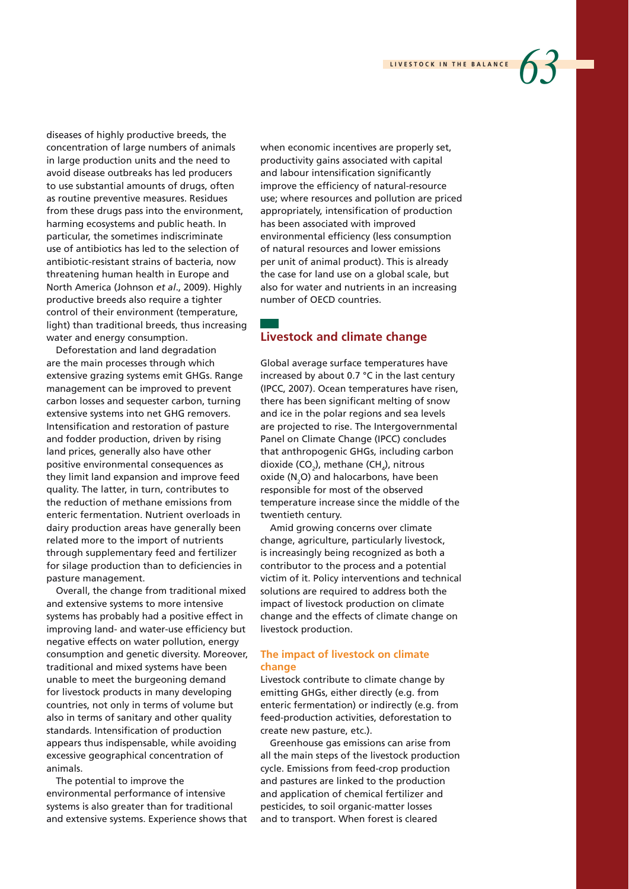diseases of highly productive breeds, the concentration of large numbers of animals in large production units and the need to avoid disease outbreaks has led producers to use substantial amounts of drugs, often as routine preventive measures. Residues from these drugs pass into the environment, harming ecosystems and public heath. In particular, the sometimes indiscriminate use of antibiotics has led to the selection of antibiotic-resistant strains of bacteria, now threatening human health in Europe and North America (Johnson *et al*., 2009). Highly productive breeds also require a tighter control of their environment (temperature, light) than traditional breeds, thus increasing water and energy consumption.

Deforestation and land degradation are the main processes through which extensive grazing systems emit GHGs. Range management can be improved to prevent carbon losses and sequester carbon, turning extensive systems into net GHG removers. Intensification and restoration of pasture and fodder production, driven by rising land prices, generally also have other positive environmental consequences as they limit land expansion and improve feed quality. The latter, in turn, contributes to the reduction of methane emissions from enteric fermentation. Nutrient overloads in dairy production areas have generally been related more to the import of nutrients through supplementary feed and fertilizer for silage production than to deficiencies in pasture management.

Overall, the change from traditional mixed and extensive systems to more intensive systems has probably had a positive effect in improving land- and water-use efficiency but negative effects on water pollution, energy consumption and genetic diversity. Moreover, traditional and mixed systems have been unable to meet the burgeoning demand for livestock products in many developing countries, not only in terms of volume but also in terms of sanitary and other quality standards. Intensification of production appears thus indispensable, while avoiding excessive geographical concentration of animals.

The potential to improve the environmental performance of intensive systems is also greater than for traditional and extensive systems. Experience shows that when economic incentives are properly set, productivity gains associated with capital and labour intensification significantly improve the efficiency of natural-resource use; where resources and pollution are priced appropriately, intensification of production has been associated with improved environmental efficiency (less consumption of natural resources and lower emissions per unit of animal product). This is already the case for land use on a global scale, but also for water and nutrients in an increasing number of OECD countries.

### **Livestock and climate change**

Global average surface temperatures have increased by about 0.7 °C in the last century (IPCC, 2007). Ocean temperatures have risen, there has been significant melting of snow and ice in the polar regions and sea levels are projected to rise. The Intergovernmental Panel on Climate Change (IPCC) concludes that anthropogenic GHGs, including carbon dioxide (CO<sub>2</sub>), methane (CH<sub>4</sub>), nitrous oxide (N<sub>2</sub>O) and halocarbons, have been responsible for most of the observed temperature increase since the middle of the twentieth century.

Amid growing concerns over climate change, agriculture, particularly livestock, is increasingly being recognized as both a contributor to the process and a potential victim of it. Policy interventions and technical solutions are required to address both the impact of livestock production on climate change and the effects of climate change on livestock production.

### **The impact of livestock on climate change**

Livestock contribute to climate change by emitting GHGs, either directly (e.g. from enteric fermentation) or indirectly (e.g. from feed-production activities, deforestation to create new pasture, etc.).

Greenhouse gas emissions can arise from all the main steps of the livestock production cycle. Emissions from feed-crop production and pastures are linked to the production and application of chemical fertilizer and pesticides, to soil organic-matter losses and to transport. When forest is cleared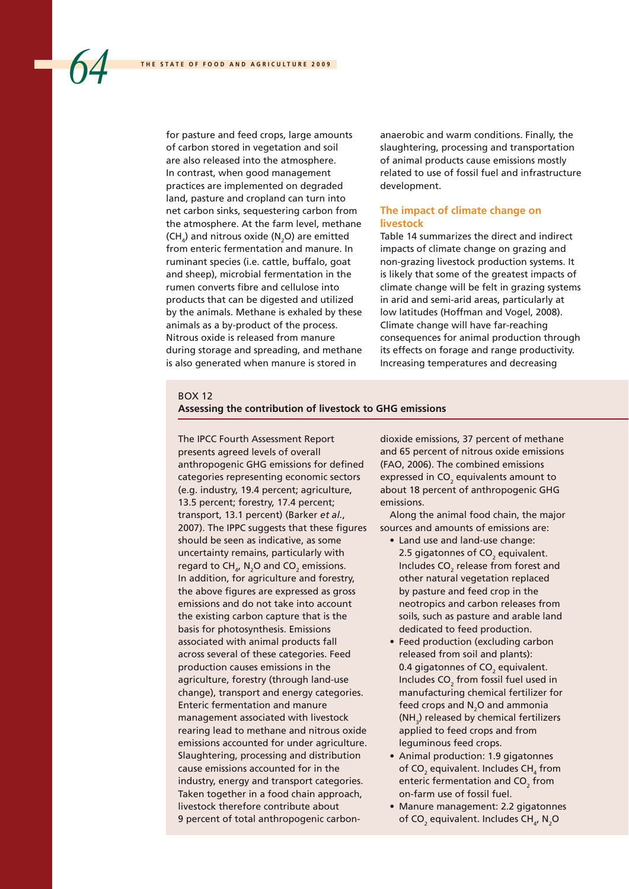for pasture and feed crops, large amounts of carbon stored in vegetation and soil are also released into the atmosphere. In contrast, when good management practices are implemented on degraded land, pasture and cropland can turn into net carbon sinks, sequestering carbon from the atmosphere. At the farm level, methane  $(CH<sub>4</sub>)$  and nitrous oxide  $(N<sub>2</sub>O)$  are emitted from enteric fermentation and manure. In ruminant species (i.e. cattle, buffalo, goat and sheep), microbial fermentation in the rumen converts fibre and cellulose into products that can be digested and utilized by the animals. Methane is exhaled by these animals as a by-product of the process. Nitrous oxide is released from manure during storage and spreading, and methane is also generated when manure is stored in

anaerobic and warm conditions. Finally, the slaughtering, processing and transportation of animal products cause emissions mostly related to use of fossil fuel and infrastructure development.

#### **The impact of climate change on livestock**

Table 14 summarizes the direct and indirect impacts of climate change on grazing and non-grazing livestock production systems. It is likely that some of the greatest impacts of climate change will be felt in grazing systems in arid and semi-arid areas, particularly at low latitudes (Hoffman and Vogel, 2008). Climate change will have far-reaching consequences for animal production through its effects on forage and range productivity. Increasing temperatures and decreasing

#### BOX 12

### **Assessing the contribution of livestock to GHG emissions**

The IPCC Fourth Assessment Report presents agreed levels of overall anthropogenic GHG emissions for defined categories representing economic sectors (e.g. industry, 19.4 percent; agriculture, 13.5 percent; forestry, 17.4 percent; transport, 13.1 percent) (Barker *et al.*, 2007). The IPPC suggests that these figures should be seen as indicative, as some uncertainty remains, particularly with regard to  $\text{CH}_{4}$ , N<sub>2</sub>O and CO<sub>2</sub> emissions. In addition, for agriculture and forestry, the above figures are expressed as gross emissions and do not take into account the existing carbon capture that is the basis for photosynthesis. Emissions associated with animal products fall across several of these categories. Feed production causes emissions in the agriculture, forestry (through land-use change), transport and energy categories. Enteric fermentation and manure management associated with livestock rearing lead to methane and nitrous oxide emissions accounted for under agriculture. Slaughtering, processing and distribution cause emissions accounted for in the industry, energy and transport categories. Taken together in a food chain approach, livestock therefore contribute about 9 percent of total anthropogenic carbon-

dioxide emissions, 37 percent of methane and 65 percent of nitrous oxide emissions (FAO, 2006). The combined emissions expressed in  $CO<sub>2</sub>$  equivalents amount to about 18 percent of anthropogenic GHG emissions.

Along the animal food chain, the major sources and amounts of emissions are:

- Land use and land-use change: 2.5 gigatonnes of  $CO<sub>2</sub>$  equivalent. Includes  $CO<sub>2</sub>$  release from forest and other natural vegetation replaced by pasture and feed crop in the neotropics and carbon releases from soils, such as pasture and arable land dedicated to feed production.
- Feed production (excluding carbon released from soil and plants): 0.4 gigatonnes of  $CO<sub>2</sub>$  equivalent. Includes  $CO<sub>2</sub>$  from fossil fuel used in manufacturing chemical fertilizer for feed crops and  $N_2$ O and ammonia  $(NH<sub>3</sub>)$  released by chemical fertilizers applied to feed crops and from leguminous feed crops.
- Animal production: 1.9 gigatonnes of  $CO_2$  equivalent. Includes  $CH_4$  from enteric fermentation and  $CO<sub>2</sub>$  from on-farm use of fossil fuel.
- Manure management: 2.2 gigatonnes of  $CO_2$  equivalent. Includes  $CH_{4}$ , N<sub>2</sub>O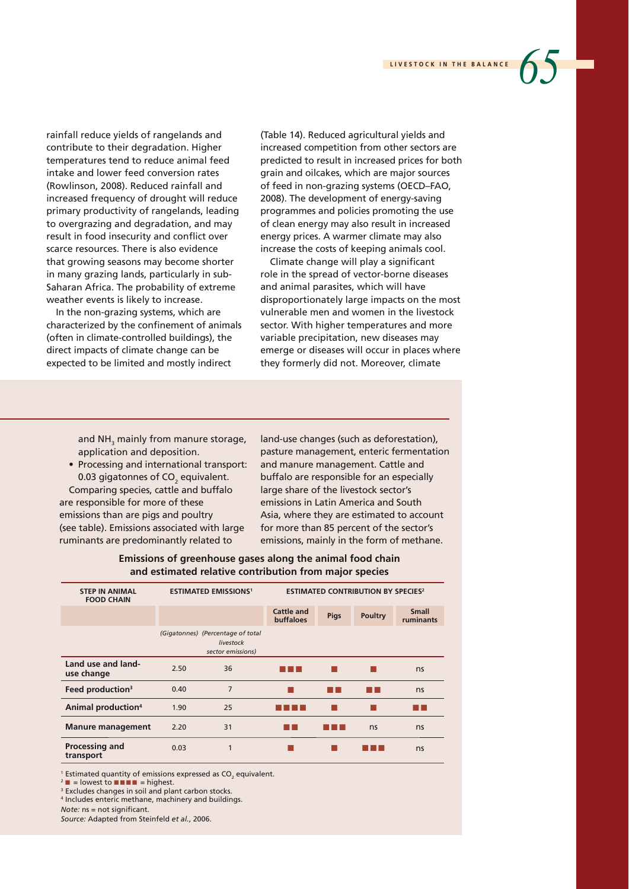### **LIVESTOCK IN THE BALANCE**

rainfall reduce yields of rangelands and contribute to their degradation. Higher temperatures tend to reduce animal feed intake and lower feed conversion rates (Rowlinson, 2008). Reduced rainfall and increased frequency of drought will reduce primary productivity of rangelands, leading to overgrazing and degradation, and may result in food insecurity and conflict over scarce resources. There is also evidence that growing seasons may become shorter in many grazing lands, particularly in sub-Saharan Africa. The probability of extreme weather events is likely to increase.

In the non-grazing systems, which are characterized by the confinement of animals (often in climate-controlled buildings), the direct impacts of climate change can be expected to be limited and mostly indirect

(Table 14). Reduced agricultural yields and increased competition from other sectors are predicted to result in increased prices for both grain and oilcakes, which are major sources of feed in non-grazing systems (OECD–FAO, 2008). The development of energy-saving programmes and policies promoting the use of clean energy may also result in increased energy prices. A warmer climate may also increase the costs of keeping animals cool.

Climate change will play a significant role in the spread of vector-borne diseases and animal parasites, which will have disproportionately large impacts on the most vulnerable men and women in the livestock sector. With higher temperatures and more variable precipitation, new diseases may emerge or diseases will occur in places where they formerly did not. Moreover, climate

and NH<sub>3</sub> mainly from manure storage, application and deposition.

• Processing and international transport: 0.03 gigatonnes of CO $_{\rm 2}$  equivalent. Comparing species, cattle and buffalo are responsible for more of these emissions than are pigs and poultry (see table). Emissions associated with large ruminants are predominantly related to

land-use changes (such as deforestation), pasture management, enteric fermentation and manure management. Cattle and buffalo are responsible for an especially large share of the livestock sector's emissions in Latin America and South Asia, where they are estimated to account for more than 85 percent of the sector's emissions, mainly in the form of methane.

#### **Emissions of greenhouse gases along the animal food chain and estimated relative contribution from major species**

| <b>STEP IN ANIMAL</b><br><b>FOOD CHAIN</b> |      | <b>ESTIMATED EMISSIONS<sup>1</sup></b>                              | <b>ESTIMATED CONTRIBUTION BY SPECIES<sup>2</sup></b> |             |                |                           |  |
|--------------------------------------------|------|---------------------------------------------------------------------|------------------------------------------------------|-------------|----------------|---------------------------|--|
|                                            |      |                                                                     | <b>Cattle and</b><br>buffaloes                       | <b>Pigs</b> | <b>Poultry</b> | <b>Small</b><br>ruminants |  |
|                                            |      | (Gigatonnes) (Percentage of total<br>livestock<br>sector emissions) |                                                      |             |                |                           |  |
| Land use and land-<br>use change           | 2.50 | 36                                                                  |                                                      |             |                | ns                        |  |
| Feed production <sup>3</sup>               | 0.40 | $\overline{7}$                                                      |                                                      |             |                | ns                        |  |
| <b>Animal production4</b>                  | 1.90 | 25                                                                  |                                                      |             |                |                           |  |
| <b>Manure management</b>                   | 2.20 | 31                                                                  |                                                      |             | ns             | ns                        |  |
| <b>Processing and</b><br>transport         | 0.03 | 1                                                                   |                                                      |             |                | ns                        |  |

<sup>1</sup> Estimated quantity of emissions expressed as  $CO_2$  equivalent.

 $\blacksquare$  = lowest to  $\blacksquare$   $\blacksquare$  = highest.

3 Excludes changes in soil and plant carbon stocks.

4 Includes enteric methane, machinery and buildings.

*Note:* ns = not significant.

*Source:* Adapted from Steinfeld *et al.*, 2006.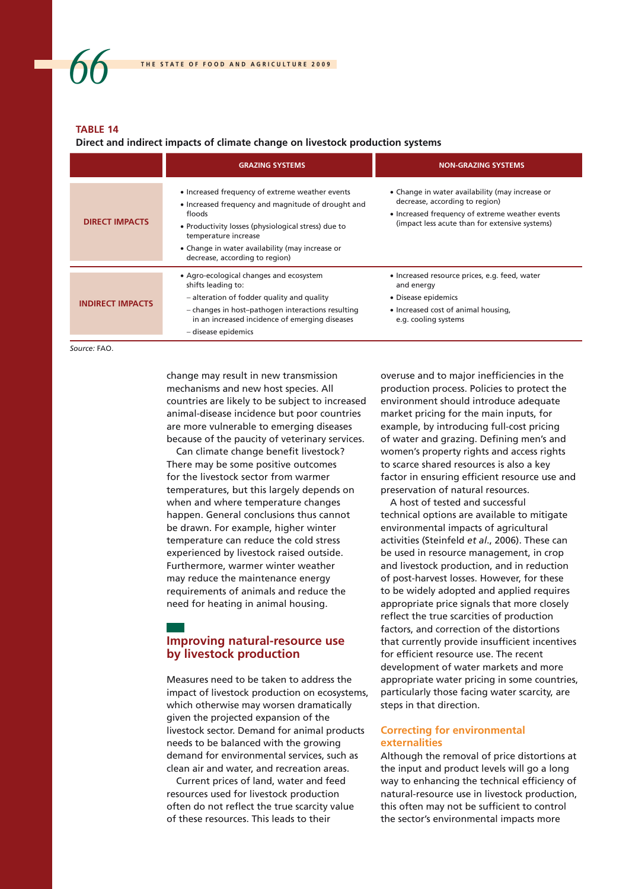#### **TABLE 14**

#### **Direct and indirect impacts of climate change on livestock production systems**

|                         | <b>GRAZING SYSTEMS</b>                                                                                                                                                                                                                                                              | <b>NON-GRAZING SYSTEMS</b>                                                                                                                                                             |
|-------------------------|-------------------------------------------------------------------------------------------------------------------------------------------------------------------------------------------------------------------------------------------------------------------------------------|----------------------------------------------------------------------------------------------------------------------------------------------------------------------------------------|
| <b>DIRECT IMPACTS</b>   | • Increased frequency of extreme weather events<br>• Increased frequency and magnitude of drought and<br>floods<br>• Productivity losses (physiological stress) due to<br>temperature increase<br>• Change in water availability (may increase or<br>decrease, according to region) | • Change in water availability (may increase or<br>decrease, according to region)<br>• Increased frequency of extreme weather events<br>(impact less acute than for extensive systems) |
| <b>INDIRECT IMPACTS</b> | • Agro-ecological changes and ecosystem<br>shifts leading to:<br>- alteration of fodder quality and quality<br>- changes in host-pathogen interactions resulting<br>in an increased incidence of emerging diseases<br>- disease epidemics                                           | • Increased resource prices, e.g. feed, water<br>and energy<br>• Disease epidemics<br>• Increased cost of animal housing,<br>e.g. cooling systems                                      |

*Source:* FAO.

change may result in new transmission mechanisms and new host species. All countries are likely to be subject to increased animal-disease incidence but poor countries are more vulnerable to emerging diseases because of the paucity of veterinary services.

Can climate change benefit livestock? There may be some positive outcomes for the livestock sector from warmer temperatures, but this largely depends on when and where temperature changes happen. General conclusions thus cannot be drawn. For example, higher winter temperature can reduce the cold stress experienced by livestock raised outside. Furthermore, warmer winter weather may reduce the maintenance energy requirements of animals and reduce the need for heating in animal housing.

### **Improving natural-resource use by livestock production**

Measures need to be taken to address the impact of livestock production on ecosystems, which otherwise may worsen dramatically given the projected expansion of the livestock sector. Demand for animal products needs to be balanced with the growing demand for environmental services, such as clean air and water, and recreation areas.

Current prices of land, water and feed resources used for livestock production often do not reflect the true scarcity value of these resources. This leads to their

overuse and to major inefficiencies in the production process. Policies to protect the environment should introduce adequate market pricing for the main inputs, for example, by introducing full-cost pricing of water and grazing. Defining men's and women's property rights and access rights to scarce shared resources is also a key factor in ensuring efficient resource use and preservation of natural resources.

A host of tested and successful technical options are available to mitigate environmental impacts of agricultural activities (Steinfeld *et al*., 2006). These can be used in resource management, in crop and livestock production, and in reduction of post-harvest losses. However, for these to be widely adopted and applied requires appropriate price signals that more closely reflect the true scarcities of production factors, and correction of the distortions that currently provide insufficient incentives for efficient resource use. The recent development of water markets and more appropriate water pricing in some countries, particularly those facing water scarcity, are steps in that direction.

#### **Correcting for environmental externalities**

Although the removal of price distortions at the input and product levels will go a long way to enhancing the technical efficiency of natural-resource use in livestock production, this often may not be sufficient to control the sector's environmental impacts more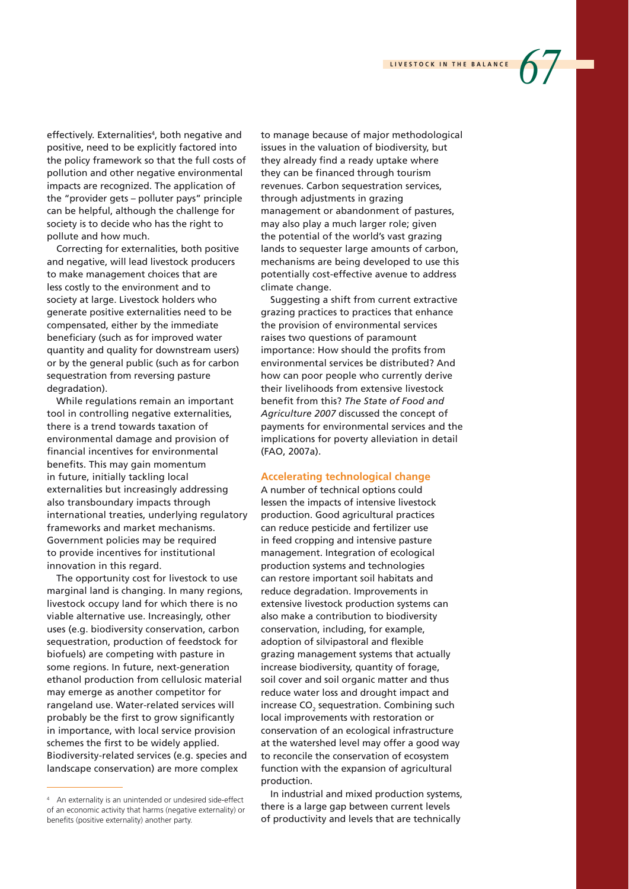**LIVESTOCK IN THE BALANCE** 

effectively. Externalities<sup>4</sup>, both negative and positive, need to be explicitly factored into the policy framework so that the full costs of pollution and other negative environmental impacts are recognized. The application of the "provider gets – polluter pays" principle can be helpful, although the challenge for society is to decide who has the right to pollute and how much.

Correcting for externalities, both positive and negative, will lead livestock producers to make management choices that are less costly to the environment and to society at large. Livestock holders who generate positive externalities need to be compensated, either by the immediate beneficiary (such as for improved water quantity and quality for downstream users) or by the general public (such as for carbon sequestration from reversing pasture degradation).

While regulations remain an important tool in controlling negative externalities, there is a trend towards taxation of environmental damage and provision of financial incentives for environmental benefits. This may gain momentum in future, initially tackling local externalities but increasingly addressing also transboundary impacts through international treaties, underlying regulatory frameworks and market mechanisms. Government policies may be required to provide incentives for institutional innovation in this regard.

The opportunity cost for livestock to use marginal land is changing. In many regions, livestock occupy land for which there is no viable alternative use. Increasingly, other uses (e.g. biodiversity conservation, carbon sequestration, production of feedstock for biofuels) are competing with pasture in some regions. In future, next-generation ethanol production from cellulosic material may emerge as another competitor for rangeland use. Water-related services will probably be the first to grow significantly in importance, with local service provision schemes the first to be widely applied. Biodiversity-related services (e.g. species and landscape conservation) are more complex

to manage because of major methodological issues in the valuation of biodiversity, but they already find a ready uptake where they can be financed through tourism revenues. Carbon sequestration services, through adjustments in grazing management or abandonment of pastures, may also play a much larger role; given the potential of the world's vast grazing lands to sequester large amounts of carbon, mechanisms are being developed to use this potentially cost-effective avenue to address climate change.

Suggesting a shift from current extractive grazing practices to practices that enhance the provision of environmental services raises two questions of paramount importance: How should the profits from environmental services be distributed? And how can poor people who currently derive their livelihoods from extensive livestock benefit from this? *The State of Food and Agriculture 2007* discussed the concept of payments for environmental services and the implications for poverty alleviation in detail (FAO, 2007a).

#### **Accelerating technological change**

A number of technical options could lessen the impacts of intensive livestock production. Good agricultural practices can reduce pesticide and fertilizer use in feed cropping and intensive pasture management. Integration of ecological production systems and technologies can restore important soil habitats and reduce degradation. Improvements in extensive livestock production systems can also make a contribution to biodiversity conservation, including, for example, adoption of silvipastoral and flexible grazing management systems that actually increase biodiversity, quantity of forage, soil cover and soil organic matter and thus reduce water loss and drought impact and increase  $\mathsf{CO}_2$  sequestration. Combining such local improvements with restoration or conservation of an ecological infrastructure at the watershed level may offer a good way to reconcile the conservation of ecosystem function with the expansion of agricultural production.

In industrial and mixed production systems, there is a large gap between current levels of productivity and levels that are technically

<sup>4</sup> An externality is an unintended or undesired side-effect of an economic activity that harms (negative externality) or benefits (positive externality) another party.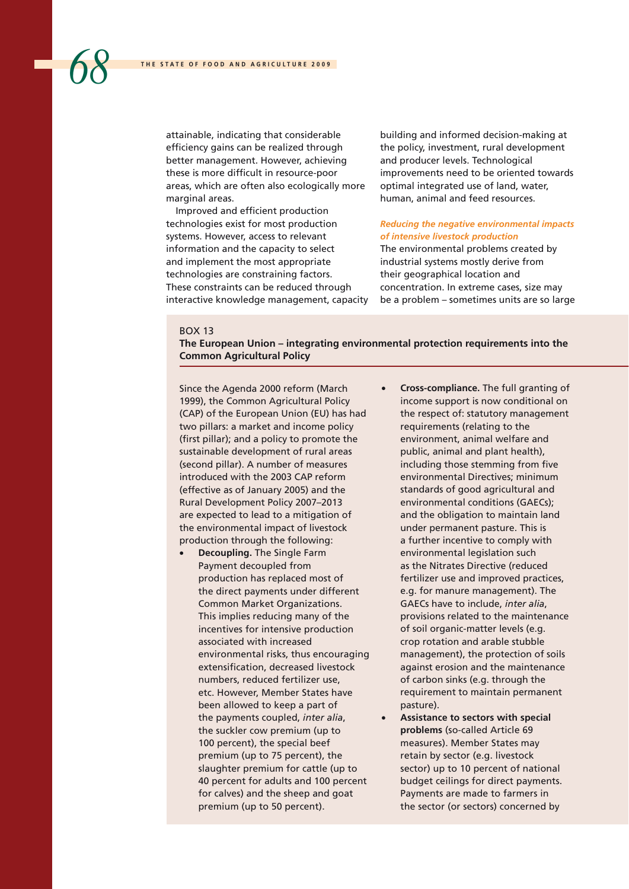attainable, indicating that considerable efficiency gains can be realized through better management. However, achieving these is more difficult in resource-poor areas, which are often also ecologically more marginal areas.

Improved and efficient production technologies exist for most production systems. However, access to relevant information and the capacity to select and implement the most appropriate technologies are constraining factors. These constraints can be reduced through interactive knowledge management, capacity building and informed decision-making at the policy, investment, rural development and producer levels. Technological improvements need to be oriented towards optimal integrated use of land, water, human, animal and feed resources.

#### *Reducing the negative environmental impacts of intensive livestock production*

The environmental problems created by industrial systems mostly derive from their geographical location and concentration. In extreme cases, size may be a problem – sometimes units are so large

#### BOX 13

**The European Union – integrating environmental protection requirements into the Common Agricultural Policy**

Since the Agenda 2000 reform (March 1999), the Common Agricultural Policy (CAP) of the European Union (EU) has had two pillars: a market and income policy (first pillar); and a policy to promote the sustainable development of rural areas (second pillar). A number of measures introduced with the 2003 CAP reform (effective as of January 2005) and the Rural Development Policy 2007–2013 are expected to lead to a mitigation of the environmental impact of livestock production through the following:

- **Decoupling.** The Single Farm Payment decoupled from production has replaced most of the direct payments under different Common Market Organizations. This implies reducing many of the incentives for intensive production associated with increased environmental risks, thus encouraging extensification, decreased livestock numbers, reduced fertilizer use, etc. However, Member States have been allowed to keep a part of the payments coupled, *inter alia*, the suckler cow premium (up to 100 percent), the special beef premium (up to 75 percent), the slaughter premium for cattle (up to 40 percent for adults and 100 percent for calves) and the sheep and goat premium (up to 50 percent).
- **Cross-compliance.** The full granting of income support is now conditional on the respect of: statutory management requirements (relating to the environment, animal welfare and public, animal and plant health), including those stemming from five environmental Directives; minimum standards of good agricultural and environmental conditions (GAECs); and the obligation to maintain land under permanent pasture. This is a further incentive to comply with environmental legislation such as the Nitrates Directive (reduced fertilizer use and improved practices, e.g. for manure management). The GAECs have to include, *inter alia*, provisions related to the maintenance of soil organic-matter levels (e.g. crop rotation and arable stubble management), the protection of soils against erosion and the maintenance of carbon sinks (e.g. through the requirement to maintain permanent pasture).
- v **Assistance to sectors with special problems** (so-called Article 69 measures). Member States may retain by sector (e.g. livestock sector) up to 10 percent of national budget ceilings for direct payments. Payments are made to farmers in the sector (or sectors) concerned by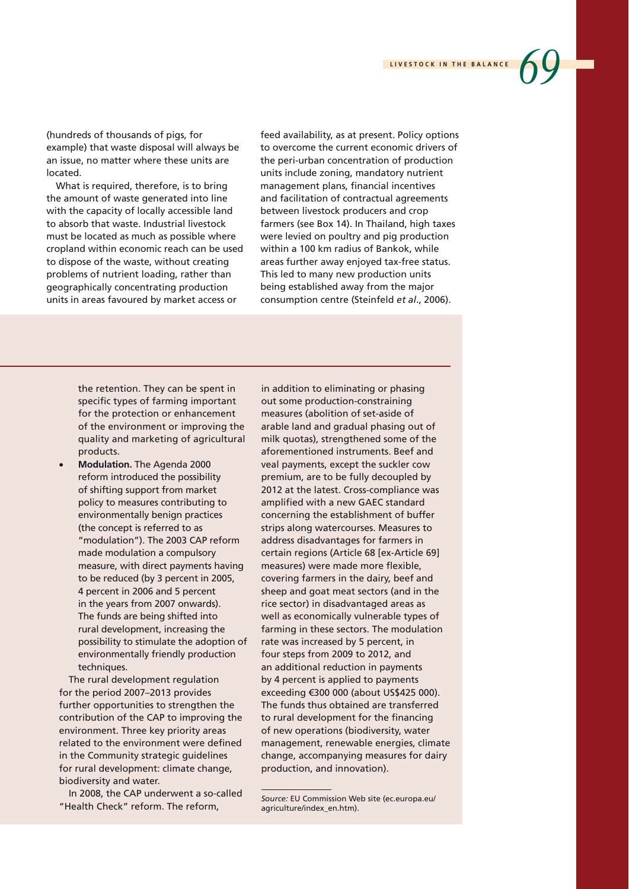### (hundreds of thousands of pigs, for example) that waste disposal will always be an issue, no matter where these units are located.

What is required, therefore, is to bring the amount of waste generated into line with the capacity of locally accessible land to absorb that waste. Industrial livestock must be located as much as possible where cropland within economic reach can be used to dispose of the waste, without creating problems of nutrient loading, rather than geographically concentrating production units in areas favoured by market access or

feed availability, as at present. Policy options to overcome the current economic drivers of the peri-urban concentration of production units include zoning, mandatory nutrient management plans, financial incentives and facilitation of contractual agreements between livestock producers and crop farmers (see Box 14). In Thailand, high taxes were levied on poultry and pig production within a 100 km radius of Bankok, while areas further away enjoyed tax-free status. This led to many new production units being established away from the major consumption centre (Steinfeld *et al*., 2006).

the retention. They can be spent in specific types of farming important for the protection or enhancement of the environment or improving the quality and marketing of agricultural products.

**Modulation.** The Agenda 2000 reform introduced the possibility of shifting support from market policy to measures contributing to environmentally benign practices (the concept is referred to as "modulation"). The 2003 CAP reform made modulation a compulsory measure, with direct payments having to be reduced (by 3 percent in 2005, 4 percent in 2006 and 5 percent in the years from 2007 onwards). The funds are being shifted into rural development, increasing the possibility to stimulate the adoption of environmentally friendly production techniques.

The rural development regulation for the period 2007–2013 provides further opportunities to strengthen the contribution of the CAP to improving the environment. Three key priority areas related to the environment were defined in the Community strategic guidelines for rural development: climate change, biodiversity and water.

In 2008, the CAP underwent a so-called "Health Check" reform. The reform,

in addition to eliminating or phasing out some production-constraining measures (abolition of set-aside of arable land and gradual phasing out of milk quotas), strengthened some of the aforementioned instruments. Beef and veal payments, except the suckler cow premium, are to be fully decoupled by 2012 at the latest. Cross-compliance was amplified with a new GAEC standard concerning the establishment of buffer strips along watercourses. Measures to address disadvantages for farmers in certain regions (Article 68 [ex-Article 69] measures) were made more flexible, covering farmers in the dairy, beef and sheep and goat meat sectors (and in the rice sector) in disadvantaged areas as well as economically vulnerable types of farming in these sectors. The modulation rate was increased by 5 percent, in four steps from 2009 to 2012, and an additional reduction in payments by 4 percent is applied to payments exceeding €300 000 (about US\$425 000). The funds thus obtained are transferred to rural development for the financing of new operations (biodiversity, water management, renewable energies, climate change, accompanying measures for dairy production, and innovation).

*Source:* EU Commission Web site (ec.europa.eu/ agriculture/index\_en.htm).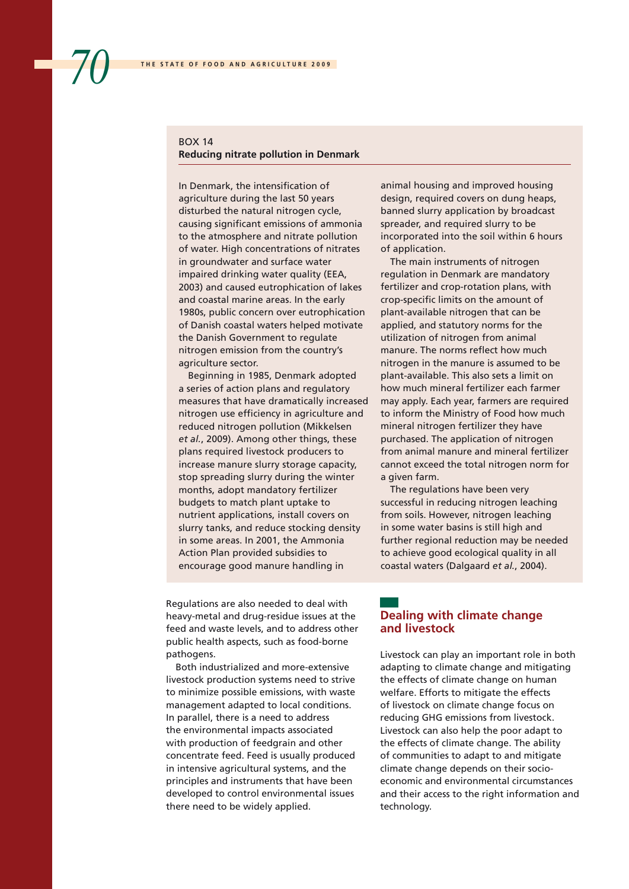### BOX 14 **Reducing nitrate pollution in Denmark**

In Denmark, the intensification of agriculture during the last 50 years disturbed the natural nitrogen cycle, causing significant emissions of ammonia to the atmosphere and nitrate pollution of water. High concentrations of nitrates in groundwater and surface water impaired drinking water quality (EEA, 2003) and caused eutrophication of lakes and coastal marine areas. In the early 1980s, public concern over eutrophication of Danish coastal waters helped motivate the Danish Government to regulate nitrogen emission from the country's agriculture sector.

Beginning in 1985, Denmark adopted a series of action plans and regulatory measures that have dramatically increased nitrogen use efficiency in agriculture and reduced nitrogen pollution (Mikkelsen *et al.*, 2009). Among other things, these plans required livestock producers to increase manure slurry storage capacity, stop spreading slurry during the winter months, adopt mandatory fertilizer budgets to match plant uptake to nutrient applications, install covers on slurry tanks, and reduce stocking density in some areas. In 2001, the Ammonia Action Plan provided subsidies to encourage good manure handling in

Regulations are also needed to deal with heavy-metal and drug-residue issues at the feed and waste levels, and to address other public health aspects, such as food-borne pathogens.

Both industrialized and more-extensive livestock production systems need to strive to minimize possible emissions, with waste management adapted to local conditions. In parallel, there is a need to address the environmental impacts associated with production of feedgrain and other concentrate feed. Feed is usually produced in intensive agricultural systems, and the principles and instruments that have been developed to control environmental issues there need to be widely applied.

animal housing and improved housing design, required covers on dung heaps, banned slurry application by broadcast spreader, and required slurry to be incorporated into the soil within 6 hours of application.

The main instruments of nitrogen regulation in Denmark are mandatory fertilizer and crop-rotation plans, with crop-specific limits on the amount of plant-available nitrogen that can be applied, and statutory norms for the utilization of nitrogen from animal manure. The norms reflect how much nitrogen in the manure is assumed to be plant-available. This also sets a limit on how much mineral fertilizer each farmer may apply. Each year, farmers are required to inform the Ministry of Food how much mineral nitrogen fertilizer they have purchased. The application of nitrogen from animal manure and mineral fertilizer cannot exceed the total nitrogen norm for a given farm.

The regulations have been very successful in reducing nitrogen leaching from soils. However, nitrogen leaching in some water basins is still high and further regional reduction may be needed to achieve good ecological quality in all coastal waters (Dalgaard *et al.*, 2004).

### **Dealing with climate change and livestock**

Livestock can play an important role in both adapting to climate change and mitigating the effects of climate change on human welfare. Efforts to mitigate the effects of livestock on climate change focus on reducing GHG emissions from livestock. Livestock can also help the poor adapt to the effects of climate change. The ability of communities to adapt to and mitigate climate change depends on their socioeconomic and environmental circumstances and their access to the right information and technology.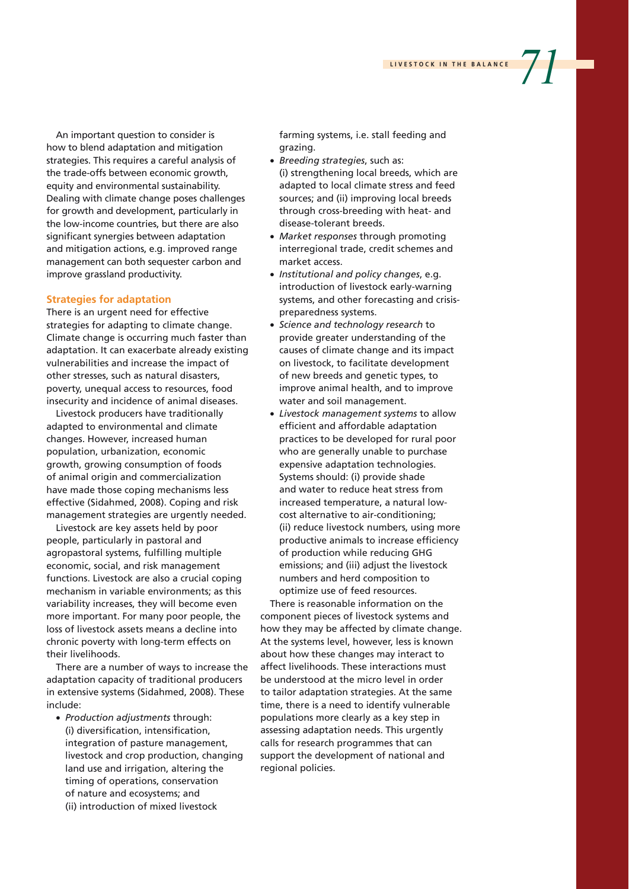An important question to consider is how to blend adaptation and mitigation strategies. This requires a careful analysis of the trade-offs between economic growth, equity and environmental sustainability. Dealing with climate change poses challenges for growth and development, particularly in the low-income countries, but there are also significant synergies between adaptation and mitigation actions, e.g. improved range management can both sequester carbon and improve grassland productivity.

### **Strategies for adaptation**

There is an urgent need for effective strategies for adapting to climate change. Climate change is occurring much faster than adaptation. It can exacerbate already existing vulnerabilities and increase the impact of other stresses, such as natural disasters, poverty, unequal access to resources, food insecurity and incidence of animal diseases.

Livestock producers have traditionally adapted to environmental and climate changes. However, increased human population, urbanization, economic growth, growing consumption of foods of animal origin and commercialization have made those coping mechanisms less effective (Sidahmed, 2008). Coping and risk management strategies are urgently needed.

Livestock are key assets held by poor people, particularly in pastoral and agropastoral systems, fulfilling multiple economic, social, and risk management functions. Livestock are also a crucial coping mechanism in variable environments; as this variability increases, they will become even more important. For many poor people, the loss of livestock assets means a decline into chronic poverty with long-term effects on their livelihoods.

There are a number of ways to increase the adaptation capacity of traditional producers in extensive systems (Sidahmed, 2008). These include:

v *Production adjustments* through: (i) diversification, intensification, integration of pasture management, livestock and crop production, changing land use and irrigation, altering the timing of operations, conservation of nature and ecosystems; and (ii) introduction of mixed livestock

farming systems, i.e. stall feeding and grazing.

- v *Breeding strategies*, such as: (i) strengthening local breeds, which are adapted to local climate stress and feed sources; and (ii) improving local breeds through cross-breeding with heat- and disease-tolerant breeds.
- v *Market responses* through promoting interregional trade, credit schemes and market access.
- v *Institutional and policy changes*, e.g. introduction of livestock early-warning systems, and other forecasting and crisispreparedness systems.
- v *Science and technology research* to provide greater understanding of the causes of climate change and its impact on livestock, to facilitate development of new breeds and genetic types, to improve animal health, and to improve water and soil management.
- v *Livestock management systems* to allow efficient and affordable adaptation practices to be developed for rural poor who are generally unable to purchase expensive adaptation technologies. Systems should: (i) provide shade and water to reduce heat stress from increased temperature, a natural lowcost alternative to air-conditioning; (ii) reduce livestock numbers, using more productive animals to increase efficiency of production while reducing GHG emissions; and (iii) adjust the livestock numbers and herd composition to optimize use of feed resources.

There is reasonable information on the component pieces of livestock systems and how they may be affected by climate change. At the systems level, however, less is known about how these changes may interact to affect livelihoods. These interactions must be understood at the micro level in order to tailor adaptation strategies. At the same time, there is a need to identify vulnerable populations more clearly as a key step in assessing adaptation needs. This urgently calls for research programmes that can support the development of national and regional policies.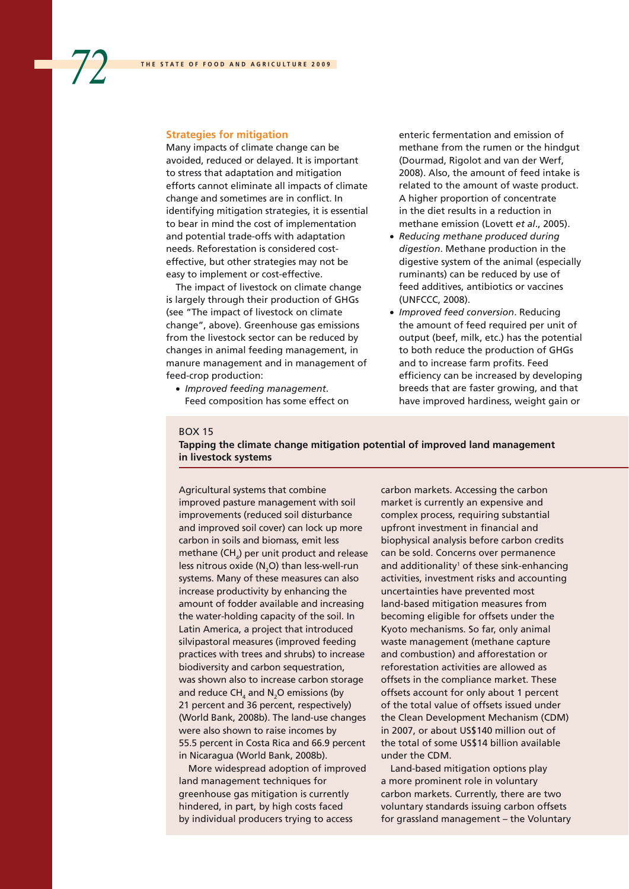#### **Strategies for mitigation**

Many impacts of climate change can be avoided, reduced or delayed. It is important to stress that adaptation and mitigation efforts cannot eliminate all impacts of climate change and sometimes are in conflict. In identifying mitigation strategies, it is essential to bear in mind the cost of implementation and potential trade-offs with adaptation needs. Reforestation is considered costeffective, but other strategies may not be easy to implement or cost-effective.

The impact of livestock on climate change is largely through their production of GHGs (see "The impact of livestock on climate change", above). Greenhouse gas emissions from the livestock sector can be reduced by changes in animal feeding management, in manure management and in management of feed-crop production:

v *Improved feeding management*. Feed composition has some effect on enteric fermentation and emission of methane from the rumen or the hindgut (Dourmad, Rigolot and van der Werf, 2008). Also, the amount of feed intake is related to the amount of waste product. A higher proportion of concentrate in the diet results in a reduction in methane emission (Lovett *et al*., 2005).

- v *Reducing methane produced during digestion*. Methane production in the digestive system of the animal (especially ruminants) can be reduced by use of feed additives, antibiotics or vaccines (UNFCCC, 2008).
- v *Improved feed conversion*. Reducing the amount of feed required per unit of output (beef, milk, etc.) has the potential to both reduce the production of GHGs and to increase farm profits. Feed efficiency can be increased by developing breeds that are faster growing, and that have improved hardiness, weight gain or

#### BOX 15

**Tapping the climate change mitigation potential of improved land management in livestock systems**

Agricultural systems that combine improved pasture management with soil improvements (reduced soil disturbance and improved soil cover) can lock up more carbon in soils and biomass, emit less methane (CH<sub>4</sub>) per unit product and release less nitrous oxide ( $N_2$ O) than less-well-run systems. Many of these measures can also increase productivity by enhancing the amount of fodder available and increasing the water-holding capacity of the soil. In Latin America, a project that introduced silvipastoral measures (improved feeding practices with trees and shrubs) to increase biodiversity and carbon sequestration, was shown also to increase carbon storage and reduce  $\mathsf{CH}_4$  and  $\mathsf{N}_2\mathsf{O}$  emissions (by 21 percent and 36 percent, respectively) (World Bank, 2008b). The land-use changes were also shown to raise incomes by 55.5 percent in Costa Rica and 66.9 percent in Nicaragua (World Bank, 2008b).

More widespread adoption of improved land management techniques for greenhouse gas mitigation is currently hindered, in part, by high costs faced by individual producers trying to access

carbon markets. Accessing the carbon market is currently an expensive and complex process, requiring substantial upfront investment in financial and biophysical analysis before carbon credits can be sold. Concerns over permanence and additionality<sup>1</sup> of these sink-enhancing activities, investment risks and accounting uncertainties have prevented most land-based mitigation measures from becoming eligible for offsets under the Kyoto mechanisms. So far, only animal waste management (methane capture and combustion) and afforestation or reforestation activities are allowed as offsets in the compliance market. These offsets account for only about 1 percent of the total value of offsets issued under the Clean Development Mechanism (CDM) in 2007, or about US\$140 million out of the total of some US\$14 billion available under the CDM.

Land-based mitigation options play a more prominent role in voluntary carbon markets. Currently, there are two voluntary standards issuing carbon offsets for grassland management – the Voluntary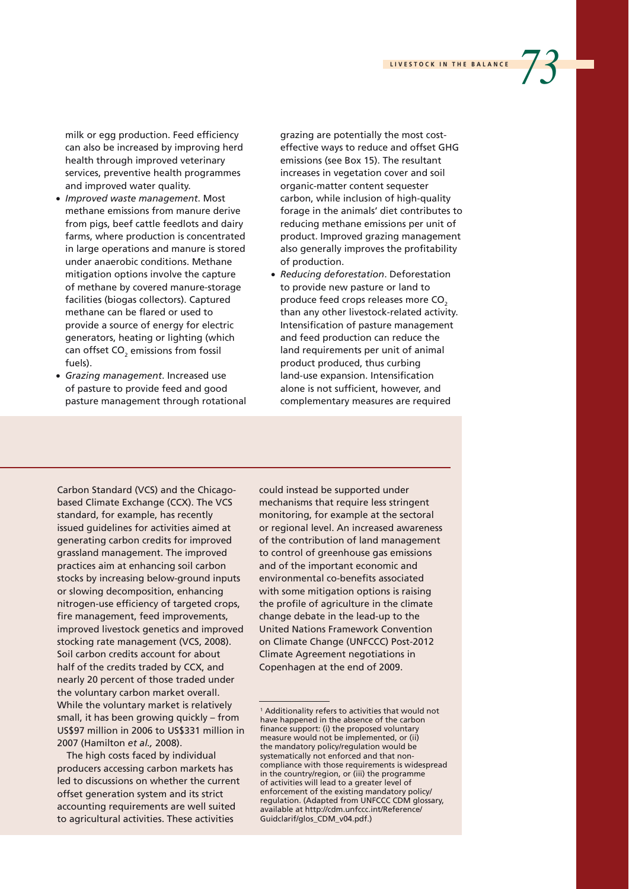milk or egg production. Feed efficiency can also be increased by improving herd health through improved veterinary services, preventive health programmes and improved water quality.

- v *Improved waste management*. Most methane emissions from manure derive from pigs, beef cattle feedlots and dairy farms, where production is concentrated in large operations and manure is stored under anaerobic conditions. Methane mitigation options involve the capture of methane by covered manure-storage facilities (biogas collectors). Captured methane can be flared or used to provide a source of energy for electric generators, heating or lighting (which can offset  $\mathsf{CO}_2$  emissions from fossil fuels).
- v *Grazing management*. Increased use of pasture to provide feed and good pasture management through rotational

grazing are potentially the most costeffective ways to reduce and offset GHG emissions (see Box 15). The resultant increases in vegetation cover and soil organic-matter content sequester carbon, while inclusion of high-quality forage in the animals' diet contributes to reducing methane emissions per unit of product. Improved grazing management also generally improves the profitability of production.

v *Reducing deforestation*. Deforestation to provide new pasture or land to produce feed crops releases more CO<sub>2</sub> than any other livestock-related activity. Intensification of pasture management and feed production can reduce the land requirements per unit of animal product produced, thus curbing land-use expansion. Intensification alone is not sufficient, however, and complementary measures are required

Carbon Standard (VCS) and the Chicagobased Climate Exchange (CCX). The VCS standard, for example, has recently issued guidelines for activities aimed at generating carbon credits for improved grassland management. The improved practices aim at enhancing soil carbon stocks by increasing below-ground inputs or slowing decomposition, enhancing nitrogen-use efficiency of targeted crops, fire management, feed improvements, improved livestock genetics and improved stocking rate management (VCS, 2008). Soil carbon credits account for about half of the credits traded by CCX, and nearly 20 percent of those traded under the voluntary carbon market overall. While the voluntary market is relatively small, it has been growing quickly – from US\$97 million in 2006 to US\$331 million in 2007 (Hamilton *et al.,* 2008).

The high costs faced by individual producers accessing carbon markets has led to discussions on whether the current offset generation system and its strict accounting requirements are well suited to agricultural activities. These activities

could instead be supported under mechanisms that require less stringent monitoring, for example at the sectoral or regional level. An increased awareness of the contribution of land management to control of greenhouse gas emissions and of the important economic and environmental co-benefits associated with some mitigation options is raising the profile of agriculture in the climate change debate in the lead-up to the United Nations Framework Convention on Climate Change (UNFCCC) Post-2012 Climate Agreement negotiations in Copenhagen at the end of 2009.

<sup>&</sup>lt;sup>1</sup> Additionality refers to activities that would not have happened in the absence of the carbon finance support: (i) the proposed voluntary measure would not be implemented, or (ii) the mandatory policy/regulation would be systematically not enforced and that noncompliance with those requirements is widespread in the country/region, or (iii) the programme of activities will lead to a greater level of enforcement of the existing mandatory policy/ regulation. (Adapted from UNFCCC CDM glossary, available at http://cdm.unfccc.int/Reference/ Guidclarif/glos\_CDM\_v04.pdf.)